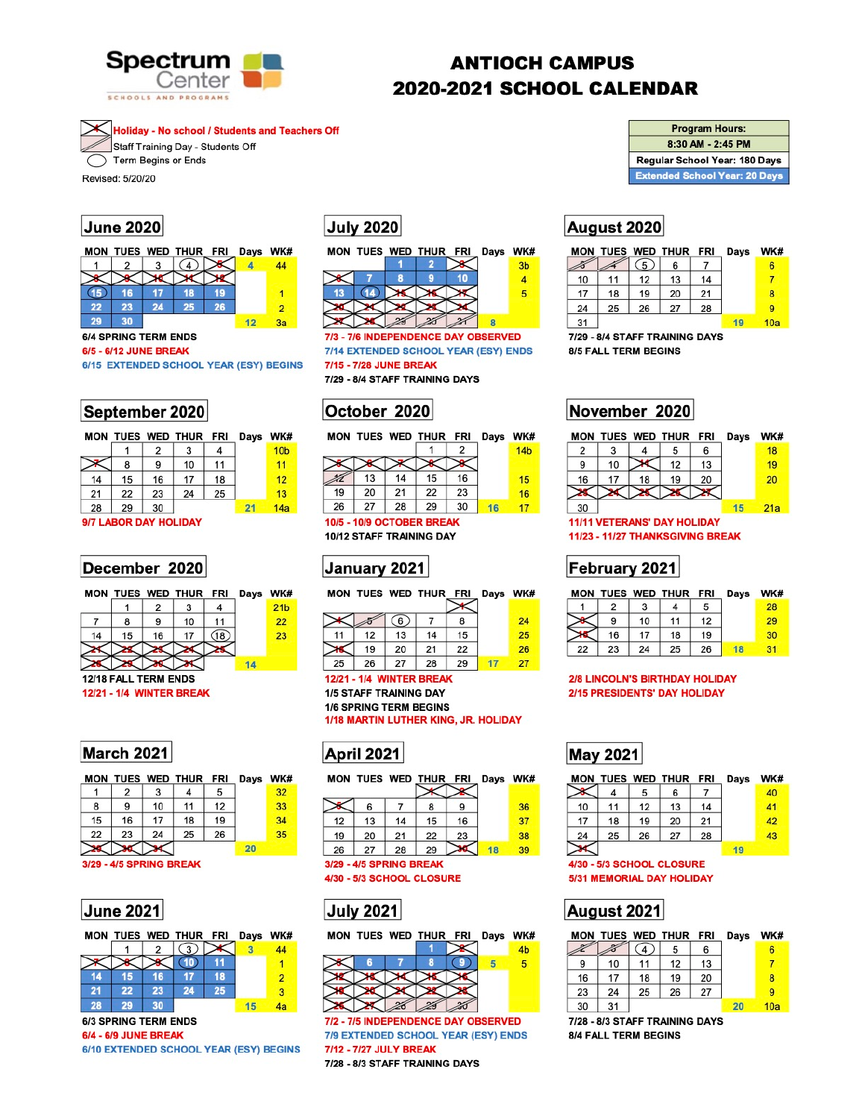

# **ANTIOCH CAMPUS 2020-2021 SCHOOL CALENDAR**

**Holiday - No school / Students and Teachers Off** Staff Training Day - Students Off Term Begins or Ends

Revised: 5/20/20

### **June 2020**



**6/4 SPRING TERM ENDS** 

6/5 - 6/12 JUNE BREAK

6/15 EXTENDED SCHOOL YEAR (ESY) BEGINS

|       |    |    | MON TUES WED THUR FRI |    | Days | WK#             |
|-------|----|----|-----------------------|----|------|-----------------|
|       |    | 2  | 3                     | 4  |      | 10 <sub>b</sub> |
|       | 8  | 9  | 10                    | 11 |      | 11              |
| 14    | 15 | 16 | 17                    | 18 |      | 12              |
| 21    | 22 | 23 | 24                    | 25 |      | 13              |
| 28    | 29 | 30 |                       |    | 21   | 14a             |
| ו לומ |    |    |                       |    |      |                 |

#### *II LAB*UR DAT HULIDAI

### December 2020

|  |  | MON TUES WED THUR FRI Days WK |    |    |
|--|--|-------------------------------|----|----|
|  |  |                               |    | 1b |
|  |  | 10                            | 11 |    |
|  |  |                               |    |    |

**July 2020** 



7/3 - 7/6 INDEPENDENCE DAY OBSERVED 7/14 EXTENDED SCHOOL YEAR (ESY) ENDS 7/15 - 7/28 JUNE BREAK 7/29 - 8/4 STAFF TRAINING DAYS

October 2020

|    |    |    | MON TUES WED THUR FRI Days |    | WK#             |
|----|----|----|----------------------------|----|-----------------|
|    |    |    |                            |    | 14 <sub>b</sub> |
|    |    |    |                            |    |                 |
|    | 13 | 14 | 15                         | 16 | 15              |
| 19 | 20 | 21 | 22                         | 23 | 16              |
| 26 | 27 | 28 | 29                         | 30 |                 |
|    |    |    |                            |    |                 |

**10/5 - 10/9 OCTOBER BREAK** 10/12 STAFF TRAINING DAY

## January 2021

MON TUES WED THUR FRI Dave WK#

| ייש |    | IULO WED INUR FRI |    |    | <b>Days</b> | VVr |
|-----|----|-------------------|----|----|-------------|-----|
|     |    | (6)               |    |    |             | 24  |
| 11  | 12 | 13                | 14 | 15 |             | 25  |
|     | 19 | 20                | 21 | 22 |             | 26  |
| 25  | 26 | 27                | 28 | 29 |             |     |

|  | <b>Program Hours:</b> |  |
|--|-----------------------|--|
|  |                       |  |

8:30 AM - 2:45 PM

Regular School Year: 180 Days

**Extended School Year: 20 Days** 

### August 2020

|    |    |                | MON TUES WED THUR FRI |    | Days | WK# |
|----|----|----------------|-----------------------|----|------|-----|
|    |    | 5 <sub>2</sub> | 6                     |    |      |     |
| 10 | 11 | 12             | 13                    | 14 |      |     |
| 17 | 18 | 19             | 20                    | 21 |      | 8   |
| 24 | 25 | 26             | 27                    | 28 |      | Я   |
| 31 |    |                |                       |    |      | 10a |

7/29 - 8/4 STAFF TRAINING DAYS **8/5 FALL TERM BEGINS** 

November 2020

|    |    |    | MON TUES WED THUR FRI |    | Days | WK# |
|----|----|----|-----------------------|----|------|-----|
| 2  |    |    | 5                     | 6  |      | 18  |
| 9  | 10 |    | 12                    | 13 |      | 19  |
| 16 | 17 | 18 | 19                    | 20 |      | 20  |
|    |    |    |                       |    |      |     |
| 30 |    |    |                       |    |      | 21a |

**11/11 VETERANS' DAY HOLIDAY** 11/23 - 11/27 THANKSGIVING BREAK

### February 2021

|  |    |    |    | MON TUES WED THUR FRI Days | WK# |
|--|----|----|----|----------------------------|-----|
|  |    |    |    |                            | 28  |
|  | 10 | 11 | 12 |                            | 29. |
|  |    |    |    |                            |     |



**12/21 - 1/4 WINTER BREAK 1/5 STAFF TRAINING DAY 1/6 SPRING TERM BEGINS** 1/18 MARTIN LUTHER KING, JR. HOLIDAY

|    |                         |    | MON TUES WED THUR FRI |    | Days | WK# |
|----|-------------------------|----|-----------------------|----|------|-----|
|    | 2                       | 3  | 4                     | 5  |      | 32  |
| 8  | 9                       | 10 | 11                    | 12 |      | 33  |
| 15 | 16                      | 17 | 18                    | 19 |      | 34  |
| 22 | 23                      | 24 | 25                    | 26 |      | 35  |
|    |                         |    |                       |    | 20   |     |
|    | 3/29 - 4/5 SPRING BREAK |    |                       |    |      |     |

### **June 2021**

March 2021



**6/3 SPRING TERM ENDS** 6/4 - 6/9 JUNE BREAK

6/10 EXTENDED SCHOOL YEAR (ESY) BEGINS

|    | MON TUES WED THUR FRI |    |    |    | Days WK |    |
|----|-----------------------|----|----|----|---------|----|
|    |                       |    |    |    |         |    |
|    | 6                     |    |    | 9  |         | 36 |
| 12 | 13                    | 14 | 15 | 16 |         | 37 |
| 19 | 20                    | 21 | 22 | 23 |         | 38 |
| 26 | 27                    | 28 | 29 |    |         | 39 |

#### 3/29 - 4/5 SPRING BREAK 4/30 - 5/3 SCHOOL CLOSURE





7/2 - 7/5 INDEPENDENCE DAY OBSERVED 7/9 EXTENDED SCHOOL YEAR (ESY) ENDS 7/12 - 7/27 JULY BREAK 7/28 - 8/3 STAFF TRAINING DAYS

|  |  |  | 22 23 24 25 26 18 31 |  |
|--|--|--|----------------------|--|

#### **2/8 LINCOLN'S BIRTHDAY HOLIDAY** 2/15 PRESIDENTS' DAY HOLIDAY

## **May 2021**

|    |    |    | MON TUES WED THUR FRI |    | Days | WK# |
|----|----|----|-----------------------|----|------|-----|
|    |    | 5  | 6                     |    |      | 40  |
| 10 | 11 | 12 | 13                    | 14 |      | 41  |
| 17 | 18 | 19 | 20                    | 21 |      | 42  |
| 24 | 25 | 26 | 27                    | 28 |      | 43  |
|    |    |    |                       |    |      |     |

#### 4/30 - 5/3 SCHOOL CLOSURE **5/31 MEMORIAL DAY HOLIDAY**

# August 2021

|    |    |    | MON TUES WED THUR FRI |    | Days | WK# |
|----|----|----|-----------------------|----|------|-----|
|    |    | 4  | 5                     | 6  |      | 6   |
| 9  | 10 | 11 | 12                    | 13 |      |     |
| 16 | 17 | 18 | 19                    | 20 |      | 8   |
| 23 | 24 | 25 | 26                    | 27 |      | 9   |
| 30 | 31 |    |                       |    |      | 10a |

7/28 - 8/3 STAFF TRAINING DAYS 8/4 FALL TERM BEGINS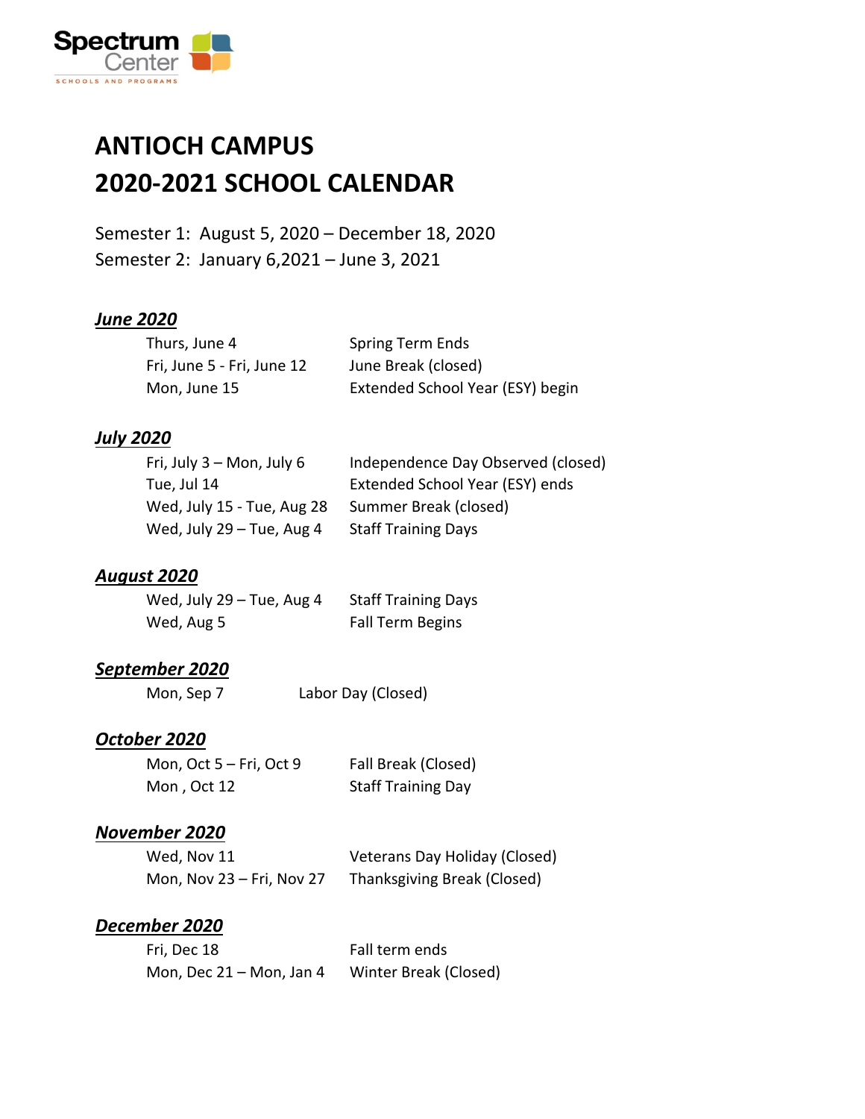

### **ANTIOCH CAMPUS 2020-2021 SCHOOL CALENDAR**

Semester 1: August 5, 2020 – December 18, 2020 Semester 2: January 6,2021 – June 3, 2021

#### *June 2020*

| Thurs, June 4              | <b>Spring Term Ends</b>          |
|----------------------------|----------------------------------|
| Fri, June 5 - Fri, June 12 | June Break (closed)              |
| Mon, June 15               | Extended School Year (ESY) begin |

#### *July 2020*

| Independence Day Observed (closed) |
|------------------------------------|
| Extended School Year (ESY) ends    |
| Summer Break (closed)              |
| <b>Staff Training Days</b>         |
|                                    |

#### *August 2020*

| Wed, July $29 -$ Tue, Aug 4 | <b>Staff Training Days</b> |
|-----------------------------|----------------------------|
| Wed, Aug 5                  | Fall Term Begins           |

#### *September 2020*

Mon, Sep 7 Labor Day (Closed)

#### *October 2020*

| Mon, Oct $5 - Fri$ , Oct 9 | Fall Break (Closed)       |
|----------------------------|---------------------------|
| Mon, Oct 12                | <b>Staff Training Day</b> |

#### *November 2020*

| Wed, Nov 11               | Veterans Day Holiday (Closed) |
|---------------------------|-------------------------------|
| Mon, Nov 23 – Fri, Nov 27 | Thanksgiving Break (Closed)   |

#### *December 2020*

| Fri, Dec 18                | Fall term ends        |
|----------------------------|-----------------------|
| Mon, Dec $21 -$ Mon, Jan 4 | Winter Break (Closed) |